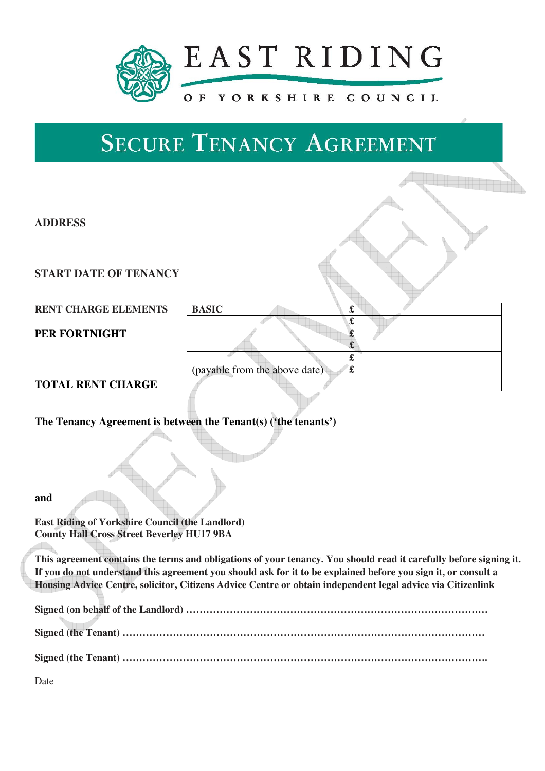

# **SECURE TENANCY AGREEMENT**

## **ADDRESS**

### **START DATE OF TENANCY**

| <b>RENT CHARGE ELEMENTS</b> | <b>BASIC</b>                  | ക |
|-----------------------------|-------------------------------|---|
|                             |                               |   |
| PER FORTNIGHT               |                               |   |
|                             |                               |   |
|                             |                               |   |
|                             | (payable from the above date) | £ |
| <b>TOTAL RENT CHARGE</b>    |                               |   |
|                             |                               |   |

### **The Tenancy Agreement is between the Tenant(s) ('the tenants')**

#### **and**

**East Riding of Yorkshire Council (the Landlord) County Hall Cross Street Beverley HU17 9BA** 

**This agreement contains the terms and obligations of your tenancy. You should read it carefully before signing it. If you do not understand this agreement you should ask for it to be explained before you sign it, or consult a Housing Advice Centre, solicitor, Citizens Advice Centre or obtain independent legal advice via Citizenlink** 

Date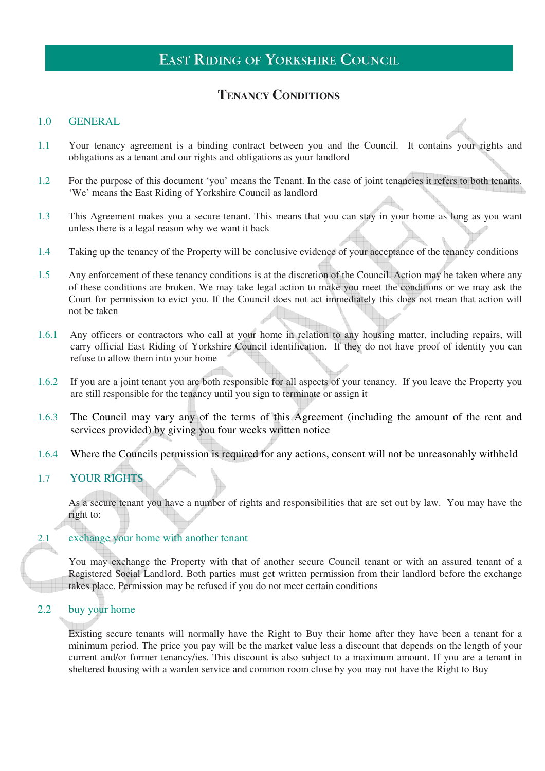# **TENANCY CONDITIONS**

#### 1.0 GENERAL

- 1.1 Your tenancy agreement is a binding contract between you and the Council. It contains your rights and obligations as a tenant and our rights and obligations as your landlord
- 1.2 For the purpose of this document 'you' means the Tenant. In the case of joint tenancies it refers to both tenants. 'We' means the East Riding of Yorkshire Council as landlord
- 1.3 This Agreement makes you a secure tenant. This means that you can stay in your home as long as you want unless there is a legal reason why we want it back
- 1.4 Taking up the tenancy of the Property will be conclusive evidence of your acceptance of the tenancy conditions
- 1.5 Any enforcement of these tenancy conditions is at the discretion of the Council. Action may be taken where any of these conditions are broken. We may take legal action to make you meet the conditions or we may ask the Court for permission to evict you. If the Council does not act immediately this does not mean that action will not be taken
- 1.6.1 Any officers or contractors who call at your home in relation to any housing matter, including repairs, will carry official East Riding of Yorkshire Council identification. If they do not have proof of identity you can refuse to allow them into your home
- 1.6.2 If you are a joint tenant you are both responsible for all aspects of your tenancy. If you leave the Property you are still responsible for the tenancy until you sign to terminate or assign it
- 1.6.3 The Council may vary any of the terms of this Agreement (including the amount of the rent and services provided) by giving you four weeks written notice
- 1.6.4 Where the Councils permission is required for any actions, consent will not be unreasonably withheld

#### 1.7 YOUR RIGHTS

As a secure tenant you have a number of rights and responsibilities that are set out by law. You may have the right to:

#### 2.1 exchange your home with another tenant

You may exchange the Property with that of another secure Council tenant or with an assured tenant of a Registered Social Landlord. Both parties must get written permission from their landlord before the exchange takes place. Permission may be refused if you do not meet certain conditions

#### 2.2 buy your home

Existing secure tenants will normally have the Right to Buy their home after they have been a tenant for a minimum period. The price you pay will be the market value less a discount that depends on the length of your current and/or former tenancy/ies. This discount is also subject to a maximum amount. If you are a tenant in sheltered housing with a warden service and common room close by you may not have the Right to Buy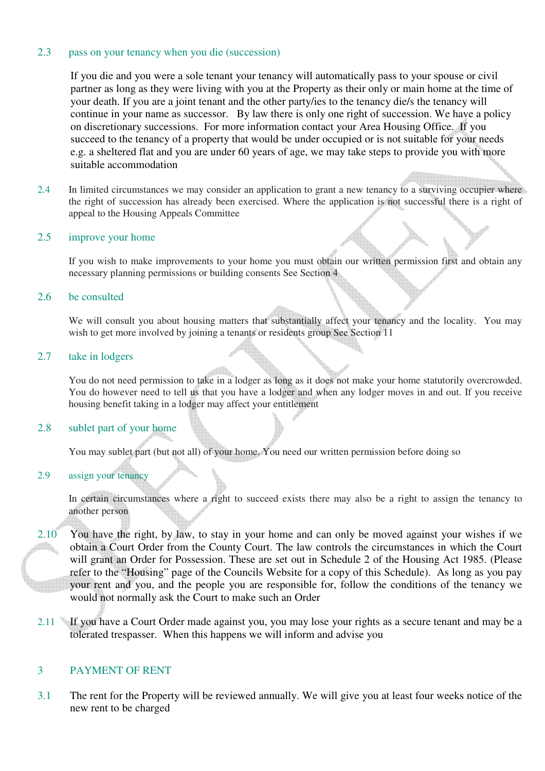#### 2.3 pass on your tenancy when you die (succession)

If you die and you were a sole tenant your tenancy will automatically pass to your spouse or civil partner as long as they were living with you at the Property as their only or main home at the time of your death. If you are a joint tenant and the other party/ies to the tenancy die/s the tenancy will continue in your name as successor. By law there is only one right of succession. We have a policy on discretionary successions. For more information contact your Area Housing Office. If you succeed to the tenancy of a property that would be under occupied or is not suitable for your needs e.g. a sheltered flat and you are under 60 years of age, we may take steps to provide you with more suitable accommodation

2.4 In limited circumstances we may consider an application to grant a new tenancy to a surviving occupier where the right of succession has already been exercised. Where the application is not successful there is a right of appeal to the Housing Appeals Committee

#### 2.5 improve your home

If you wish to make improvements to your home you must obtain our written permission first and obtain any necessary planning permissions or building consents See Section 4

#### 2.6 be consulted

We will consult you about housing matters that substantially affect your tenancy and the locality. You may wish to get more involved by joining a tenants or residents group See Section 11

#### 2.7 take in lodgers

You do not need permission to take in a lodger as long as it does not make your home statutorily overcrowded. You do however need to tell us that you have a lodger and when any lodger moves in and out. If you receive housing benefit taking in a lodger may affect your entitlement

#### 2.8 sublet part of your home

You may sublet part (but not all) of your home. You need our written permission before doing so

#### 2.9 assign your tenancy

In certain circumstances where a right to succeed exists there may also be a right to assign the tenancy to another person

- 2.10 You have the right, by law, to stay in your home and can only be moved against your wishes if we obtain a Court Order from the County Court. The law controls the circumstances in which the Court will grant an Order for Possession. These are set out in Schedule 2 of the Housing Act 1985. (Please refer to the "Housing" page of the Councils Website for a copy of this Schedule). As long as you pay your rent and you, and the people you are responsible for, follow the conditions of the tenancy we would not normally ask the Court to make such an Order
- 2.11 If you have a Court Order made against you, you may lose your rights as a secure tenant and may be a tolerated trespasser. When this happens we will inform and advise you

#### 3 PAYMENT OF RENT

3.1 The rent for the Property will be reviewed annually. We will give you at least four weeks notice of the new rent to be charged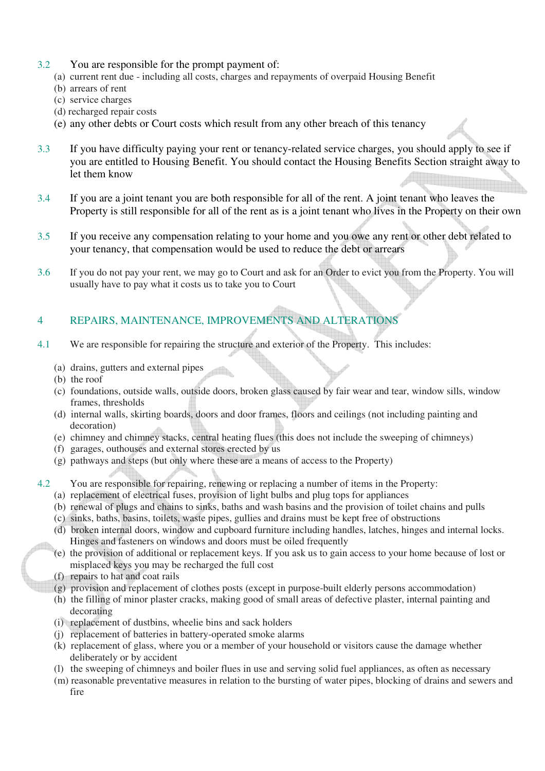- 3.2 You are responsible for the prompt payment of:
	- (a) current rent due including all costs, charges and repayments of overpaid Housing Benefit
	- (b) arrears of rent
	- (c) service charges
	- (d) recharged repair costs
	- (e) any other debts or Court costs which result from any other breach of this tenancy
- 3.3 If you have difficulty paying your rent or tenancy-related service charges, you should apply to see if you are entitled to Housing Benefit. You should contact the Housing Benefits Section straight away to let them know
- 3.4 If you are a joint tenant you are both responsible for all of the rent. A joint tenant who leaves the Property is still responsible for all of the rent as is a joint tenant who lives in the Property on their own
- 3.5 If you receive any compensation relating to your home and you owe any rent or other debt related to your tenancy, that compensation would be used to reduce the debt or arrears
- 3.6 If you do not pay your rent, we may go to Court and ask for an Order to evict you from the Property. You will usually have to pay what it costs us to take you to Court

## 4 REPAIRS, MAINTENANCE, IMPROVEMENTS AND ALTERATIONS

- 4.1 We are responsible for repairing the structure and exterior of the Property. This includes:
	- (a) drains, gutters and external pipes
	- (b) the roof
	- (c) foundations, outside walls, outside doors, broken glass caused by fair wear and tear, window sills, window frames, thresholds
	- (d) internal walls, skirting boards, doors and door frames, floors and ceilings (not including painting and decoration)
	- (e) chimney and chimney stacks, central heating flues (this does not include the sweeping of chimneys)
	- (f) garages, outhouses and external stores erected by us
	- (g) pathways and steps (but only where these are a means of access to the Property)

# 4.2 You are responsible for repairing, renewing or replacing a number of items in the Property:

- (a) replacement of electrical fuses, provision of light bulbs and plug tops for appliances
- (b) renewal of plugs and chains to sinks, baths and wash basins and the provision of toilet chains and pulls
- (c) sinks, baths, basins, toilets, waste pipes, gullies and drains must be kept free of obstructions
- (d) broken internal doors, window and cupboard furniture including handles, latches, hinges and internal locks. Hinges and fasteners on windows and doors must be oiled frequently
- (e) the provision of additional or replacement keys. If you ask us to gain access to your home because of lost or misplaced keys you may be recharged the full cost
- (f) repairs to hat and coat rails
- (g) provision and replacement of clothes posts (except in purpose-built elderly persons accommodation)
- (h) the filling of minor plaster cracks, making good of small areas of defective plaster, internal painting and decorating
- (i) replacement of dustbins, wheelie bins and sack holders
- (j) replacement of batteries in battery-operated smoke alarms
- (k) replacement of glass, where you or a member of your household or visitors cause the damage whether deliberately or by accident
- (l) the sweeping of chimneys and boiler flues in use and serving solid fuel appliances, as often as necessary
- (m) reasonable preventative measures in relation to the bursting of water pipes, blocking of drains and sewers and fire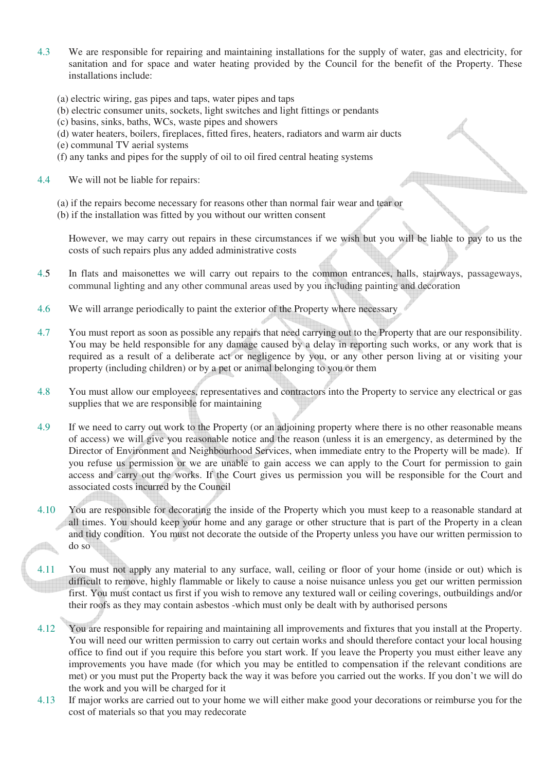- 4.3 We are responsible for repairing and maintaining installations for the supply of water, gas and electricity, for sanitation and for space and water heating provided by the Council for the benefit of the Property. These installations include:
	- (a) electric wiring, gas pipes and taps, water pipes and taps
	- (b) electric consumer units, sockets, light switches and light fittings or pendants
	- (c) basins, sinks, baths, WCs, waste pipes and showers
	- (d) water heaters, boilers, fireplaces, fitted fires, heaters, radiators and warm air ducts
	- (e) communal TV aerial systems
	- (f) any tanks and pipes for the supply of oil to oil fired central heating systems
- 4.4 We will not be liable for repairs:
	- (a) if the repairs become necessary for reasons other than normal fair wear and tear or
	- (b) if the installation was fitted by you without our written consent

However, we may carry out repairs in these circumstances if we wish but you will be liable to pay to us the costs of such repairs plus any added administrative costs

- 4.5 In flats and maisonettes we will carry out repairs to the common entrances, halls, stairways, passageways, communal lighting and any other communal areas used by you including painting and decoration
- 4.6 We will arrange periodically to paint the exterior of the Property where necessary
- 4.7 You must report as soon as possible any repairs that need carrying out to the Property that are our responsibility. You may be held responsible for any damage caused by a delay in reporting such works, or any work that is required as a result of a deliberate act or negligence by you, or any other person living at or visiting your property (including children) or by a pet or animal belonging to you or them
- 4.8 You must allow our employees, representatives and contractors into the Property to service any electrical or gas supplies that we are responsible for maintaining
- 4.9 If we need to carry out work to the Property (or an adjoining property where there is no other reasonable means of access) we will give you reasonable notice and the reason (unless it is an emergency, as determined by the Director of Environment and Neighbourhood Services, when immediate entry to the Property will be made). If you refuse us permission or we are unable to gain access we can apply to the Court for permission to gain access and carry out the works. If the Court gives us permission you will be responsible for the Court and associated costs incurred by the Council
- 4.10 You are responsible for decorating the inside of the Property which you must keep to a reasonable standard at all times. You should keep your home and any garage or other structure that is part of the Property in a clean and tidy condition. You must not decorate the outside of the Property unless you have our written permission to  $\Box$ do so
- 4.11 You must not apply any material to any surface, wall, ceiling or floor of your home (inside or out) which is difficult to remove, highly flammable or likely to cause a noise nuisance unless you get our written permission first. You must contact us first if you wish to remove any textured wall or ceiling coverings, outbuildings and/or their roofs as they may contain asbestos -which must only be dealt with by authorised persons
- 4.12 You are responsible for repairing and maintaining all improvements and fixtures that you install at the Property. You will need our written permission to carry out certain works and should therefore contact your local housing office to find out if you require this before you start work. If you leave the Property you must either leave any improvements you have made (for which you may be entitled to compensation if the relevant conditions are met) or you must put the Property back the way it was before you carried out the works. If you don't we will do the work and you will be charged for it
- 4.13 If major works are carried out to your home we will either make good your decorations or reimburse you for the cost of materials so that you may redecorate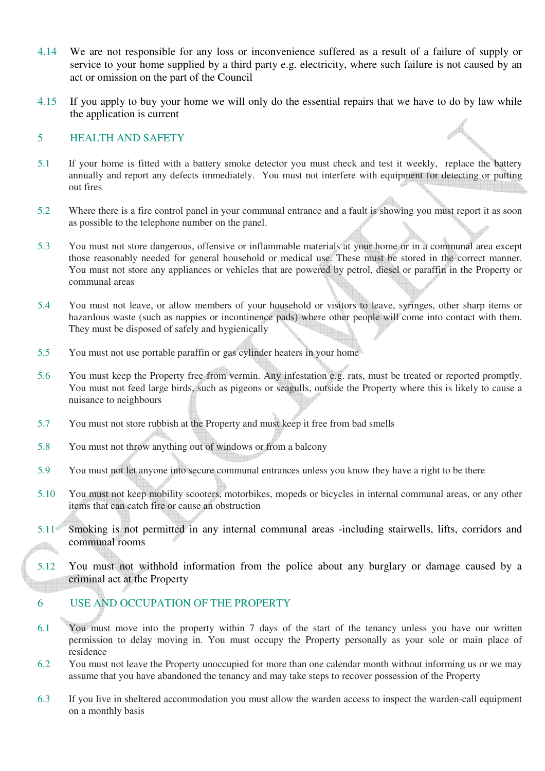- 4.14 We are not responsible for any loss or inconvenience suffered as a result of a failure of supply or service to your home supplied by a third party e.g. electricity, where such failure is not caused by an act or omission on the part of the Council
- 4.15 If you apply to buy your home we will only do the essential repairs that we have to do by law while the application is current

#### 5 HEALTH AND SAFETY

- 5.1 If your home is fitted with a battery smoke detector you must check and test it weekly, replace the battery annually and report any defects immediately. You must not interfere with equipment for detecting or putting out fires
- 5.2 Where there is a fire control panel in your communal entrance and a fault is showing you must report it as soon as possible to the telephone number on the panel.
- 5.3 You must not store dangerous, offensive or inflammable materials at your home or in a communal area except those reasonably needed for general household or medical use. These must be stored in the correct manner. You must not store any appliances or vehicles that are powered by petrol, diesel or paraffin in the Property or communal areas
- 5.4 You must not leave, or allow members of your household or visitors to leave, syringes, other sharp items or hazardous waste (such as nappies or incontinence pads) where other people will come into contact with them. They must be disposed of safely and hygienically
- 5.5 You must not use portable paraffin or gas cylinder heaters in your home
- 5.6 You must keep the Property free from vermin. Any infestation e.g. rats, must be treated or reported promptly. You must not feed large birds, such as pigeons or seagulls, outside the Property where this is likely to cause a nuisance to neighbours
- 5.7 You must not store rubbish at the Property and must keep it free from bad smells
- 5.8 You must not throw anything out of windows or from a balcony
- 5.9 You must not let anyone into secure communal entrances unless you know they have a right to be there
- 5.10 You must not keep mobility scooters, motorbikes, mopeds or bicycles in internal communal areas, or any other items that can catch fire or cause an obstruction
- 5.11 Smoking is not permitted in any internal communal areas -including stairwells, lifts, corridors and communal rooms  $\Box$
- 5.12 You must not withhold information from the police about any burglary or damage caused by a criminal act at the Property

#### 6 USE AND OCCUPATION OF THE PROPERTY

- 6.1 You must move into the property within 7 days of the start of the tenancy unless you have our written permission to delay moving in. You must occupy the Property personally as your sole or main place of residence
- 6.2 You must not leave the Property unoccupied for more than one calendar month without informing us or we may assume that you have abandoned the tenancy and may take steps to recover possession of the Property
- 6.3 If you live in sheltered accommodation you must allow the warden access to inspect the warden-call equipment on a monthly basis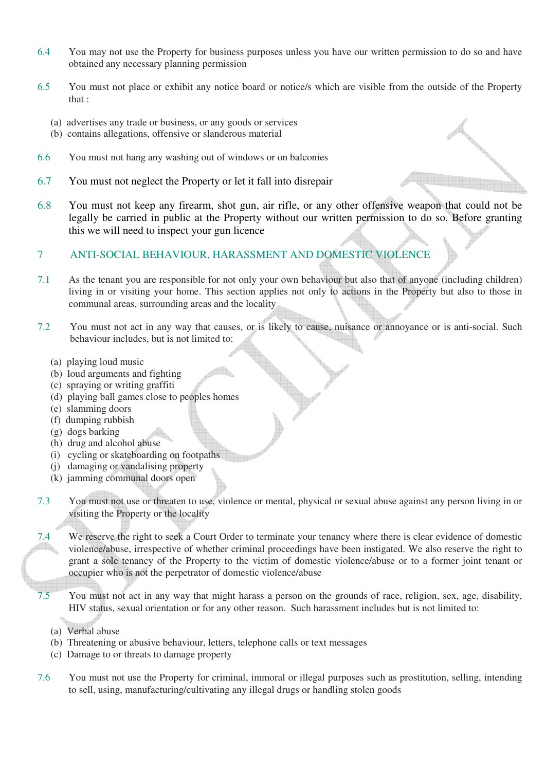- 6.4 You may not use the Property for business purposes unless you have our written permission to do so and have obtained any necessary planning permission
- 6.5 You must not place or exhibit any notice board or notice/s which are visible from the outside of the Property that :
	- (a) advertises any trade or business, or any goods or services
	- (b) contains allegations, offensive or slanderous material
- 6.6 You must not hang any washing out of windows or on balconies
- 6.7 You must not neglect the Property or let it fall into disrepair
- 6.8 You must not keep any firearm, shot gun, air rifle, or any other offensive weapon that could not be legally be carried in public at the Property without our written permission to do so. Before granting this we will need to inspect your gun licence
- 7 ANTI-SOCIAL BEHAVIOUR, HARASSMENT AND DOMESTIC VIOLENCE

din.

- 7.1 As the tenant you are responsible for not only your own behaviour but also that of anyone (including children) living in or visiting your home. This section applies not only to actions in the Property but also to those in communal areas, surrounding areas and the locality
- 7.2 You must not act in any way that causes, or is likely to cause, nuisance or annoyance or is anti-social. Such behaviour includes, but is not limited to:
	- (a) playing loud music
	- (b) loud arguments and fighting
	- (c) spraying or writing graffiti
	- (d) playing ball games close to peoples homes
	- (e) slamming doors
	- (f) dumping rubbish
	- (g) dogs barking
	- (h) drug and alcohol abuse
	- (i) cycling or skateboarding on footpaths
	- (j) damaging or vandalising property
	- (k) jamming communal doors open
- 7.3 You must not use or threaten to use, violence or mental, physical or sexual abuse against any person living in or visiting the Property or the locality
- 7.4 We reserve the right to seek a Court Order to terminate your tenancy where there is clear evidence of domestic violence/abuse, irrespective of whether criminal proceedings have been instigated. We also reserve the right to grant a sole tenancy of the Property to the victim of domestic violence/abuse or to a former joint tenant or occupier who is not the perpetrator of domestic violence/abuse
- 7.5 You must not act in any way that might harass a person on the grounds of race, religion, sex, age, disability, HIV status, sexual orientation or for any other reason. Such harassment includes but is not limited to:
	- (a) Verbal abuse
	- (b) Threatening or abusive behaviour, letters, telephone calls or text messages
	- (c) Damage to or threats to damage property
- 7.6 You must not use the Property for criminal, immoral or illegal purposes such as prostitution, selling, intending to sell, using, manufacturing/cultivating any illegal drugs or handling stolen goods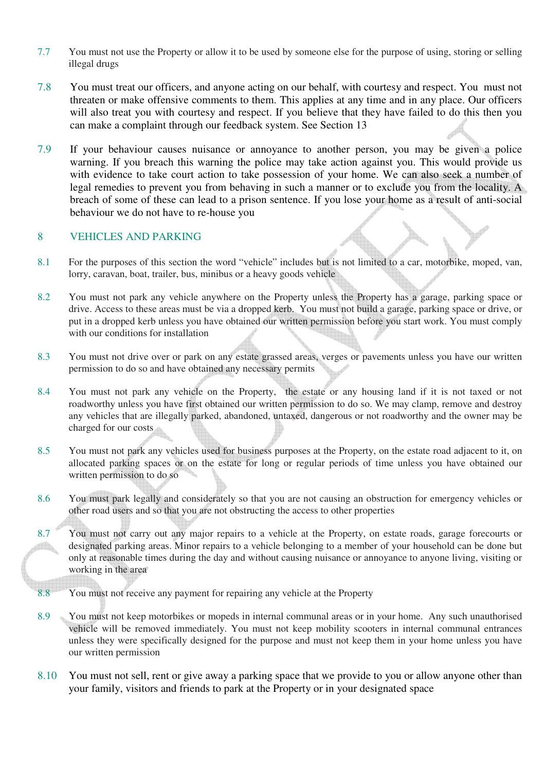- 7.7 You must not use the Property or allow it to be used by someone else for the purpose of using, storing or selling illegal drugs
- 7.8 You must treat our officers, and anyone acting on our behalf, with courtesy and respect. You must not threaten or make offensive comments to them. This applies at any time and in any place. Our officers will also treat you with courtesy and respect. If you believe that they have failed to do this then you can make a complaint through our feedback system. See Section 13
- 7.9 If your behaviour causes nuisance or annoyance to another person, you may be given a police warning. If you breach this warning the police may take action against you. This would provide us with evidence to take court action to take possession of your home. We can also seek a number of legal remedies to prevent you from behaving in such a manner or to exclude you from the locality. A breach of some of these can lead to a prison sentence. If you lose your home as a result of anti-social behaviour we do not have to re-house you

#### 8 VEHICLES AND PARKING

- 8.1 For the purposes of this section the word "vehicle" includes but is not limited to a car, motorbike, moped, van, lorry, caravan, boat, trailer, bus, minibus or a heavy goods vehicle
- 8.2 You must not park any vehicle anywhere on the Property unless the Property has a garage, parking space or drive. Access to these areas must be via a dropped kerb. You must not build a garage, parking space or drive, or put in a dropped kerb unless you have obtained our written permission before you start work. You must comply with our conditions for installation
- 8.3 You must not drive over or park on any estate grassed areas, verges or pavements unless you have our written permission to do so and have obtained any necessary permits
- 8.4 You must not park any vehicle on the Property, the estate or any housing land if it is not taxed or not roadworthy unless you have first obtained our written permission to do so. We may clamp, remove and destroy any vehicles that are illegally parked, abandoned, untaxed, dangerous or not roadworthy and the owner may be charged for our costs
- 8.5 You must not park any vehicles used for business purposes at the Property, on the estate road adjacent to it, on allocated parking spaces or on the estate for long or regular periods of time unless you have obtained our written permission to do so
- 8.6 You must park legally and considerately so that you are not causing an obstruction for emergency vehicles or other road users and so that you are not obstructing the access to other properties
- 8.7 You must not carry out any major repairs to a vehicle at the Property, on estate roads, garage forecourts or designated parking areas. Minor repairs to a vehicle belonging to a member of your household can be done but di only at reasonable times during the day and without causing nuisance or annoyance to anyone living, visiting or working in the area
- 8.8 You must not receive any payment for repairing any vehicle at the Property
- 8.9 You must not keep motorbikes or mopeds in internal communal areas or in your home. Any such unauthorised vehicle will be removed immediately. You must not keep mobility scooters in internal communal entrances unless they were specifically designed for the purpose and must not keep them in your home unless you have our written permission
- 8.10 You must not sell, rent or give away a parking space that we provide to you or allow anyone other than your family, visitors and friends to park at the Property or in your designated space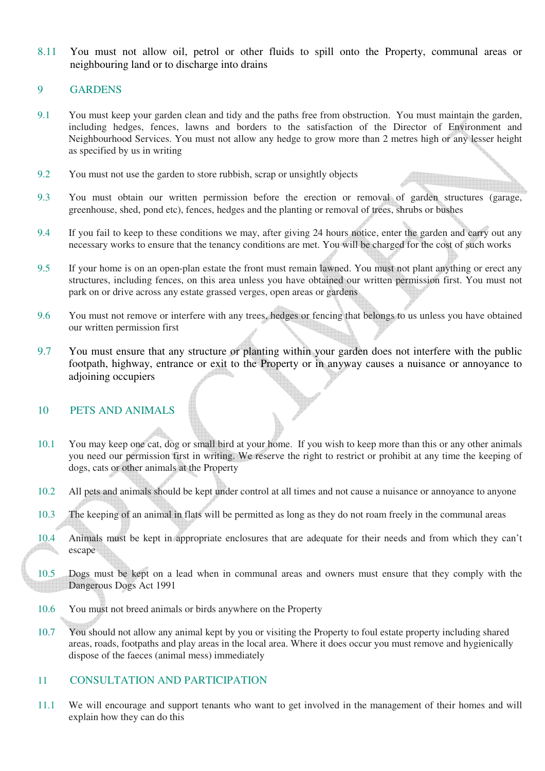8.11 You must not allow oil, petrol or other fluids to spill onto the Property, communal areas or neighbouring land or to discharge into drains

#### 9 GARDENS

- 9.1 You must keep your garden clean and tidy and the paths free from obstruction. You must maintain the garden, including hedges, fences, lawns and borders to the satisfaction of the Director of Environment and Neighbourhood Services. You must not allow any hedge to grow more than 2 metres high or any lesser height as specified by us in writing
- 9.2 You must not use the garden to store rubbish, scrap or unsightly objects
- 9.3 You must obtain our written permission before the erection or removal of garden structures (garage, greenhouse, shed, pond etc), fences, hedges and the planting or removal of trees, shrubs or bushes
- 9.4 If you fail to keep to these conditions we may, after giving 24 hours notice, enter the garden and carry out any necessary works to ensure that the tenancy conditions are met. You will be charged for the cost of such works
- 9.5 If your home is on an open-plan estate the front must remain lawned. You must not plant anything or erect any structures, including fences, on this area unless you have obtained our written permission first. You must not park on or drive across any estate grassed verges, open areas or gardens
- 9.6 You must not remove or interfere with any trees, hedges or fencing that belongs to us unless you have obtained our written permission first
- 9.7 You must ensure that any structure or planting within your garden does not interfere with the public footpath, highway, entrance or exit to the Property or in anyway causes a nuisance or annoyance to adioining occupiers

#### 10 PETS AND ANIMALS

- 10.1 You may keep one cat, dog or small bird at your home. If you wish to keep more than this or any other animals you need our permission first in writing. We reserve the right to restrict or prohibit at any time the keeping of dogs, cats or other animals at the Property
- 10.2 All pets and animals should be kept under control at all times and not cause a nuisance or annoyance to anyone
- 10.3 The keeping of an animal in flats will be permitted as long as they do not roam freely in the communal areas
- 10.4 Animals must be kept in appropriate enclosures that are adequate for their needs and from which they can't escape
- 10.5 Dogs must be kept on a lead when in communal areas and owners must ensure that they comply with the Dangerous Dogs Act 1991
- 10.6 You must not breed animals or birds anywhere on the Property
- 10.7 You should not allow any animal kept by you or visiting the Property to foul estate property including shared areas, roads, footpaths and play areas in the local area. Where it does occur you must remove and hygienically dispose of the faeces (animal mess) immediately

#### 11 CONSULTATION AND PARTICIPATION

11.1 We will encourage and support tenants who want to get involved in the management of their homes and will explain how they can do this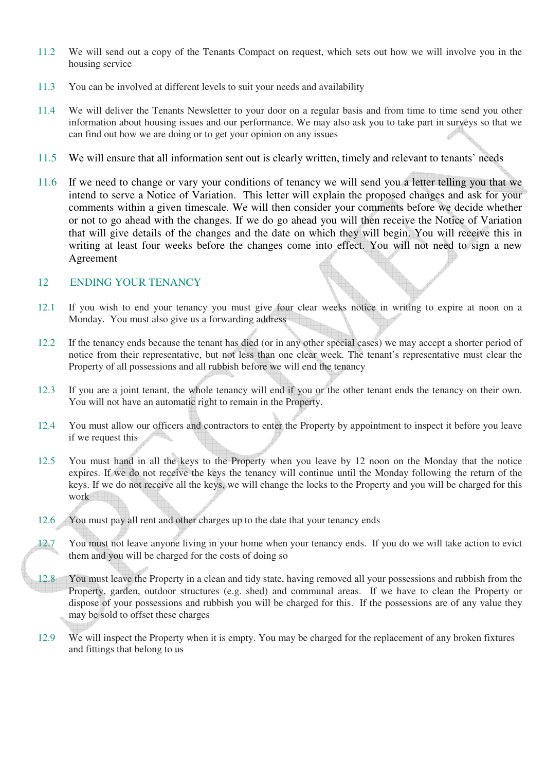- 11.2 We will send out a copy of the Tenants Compact on request, which sets out how we will involve you in the housing service
- 11.3 You can be involved at different levels to suit your needs and availability
- 11.4 We will deliver the Tenants Newsletter to your door on a regular basis and from time to time send you other information about housing issues and our performance. We may also ask you to take part in surveys so that we can find out how we are doing or to get your opinion on any issues
- 11.5 We will ensure that all information sent out is clearly written, timely and relevant to tenants' needs
- 11.6 If we need to change or vary your conditions of tenancy we will send you a letter telling you that we intend to serve a Notice of Variation. This letter will explain the proposed changes and ask for your comments within a given timescale. We will then consider your comments before we decide whether or not to go ahead with the changes. If we do go ahead you will then receive the Notice of Variation that will give details of the changes and the date on which they will begin. You will receive this in writing at least four weeks before the changes come into effect. You will not need to sign a new Agreement

#### 12 ENDING YOUR TENANCY

- 12.1 If you wish to end your tenancy you must give four clear weeks notice in writing to expire at noon on a Monday. You must also give us a forwarding address
- 12.2 If the tenancy ends because the tenant has died (or in any other special cases) we may accept a shorter period of notice from their representative, but not less than one clear week. The tenant's representative must clear the Property of all possessions and all rubbish before we will end the tenancy
- 12.3 If you are a joint tenant, the whole tenancy will end if you or the other tenant ends the tenancy on their own. You will not have an automatic right to remain in the Property.
- 12.4 You must allow our officers and contractors to enter the Property by appointment to inspect it before you leave if we request this
- 12.5 You must hand in all the keys to the Property when you leave by 12 noon on the Monday that the notice expires. If we do not receive the keys the tenancy will continue until the Monday following the return of the keys. If we do not receive all the keys, we will change the locks to the Property and you will be charged for this work
- 12.6 You must pay all rent and other charges up to the date that your tenancy ends
- 12.7 You must not leave anyone living in your home when your tenancy ends. If you do we will take action to evict them and you will be charged for the costs of doing so
- 12.8 You must leave the Property in a clean and tidy state, having removed all your possessions and rubbish from the Property, garden, outdoor structures (e.g. shed) and communal areas. If we have to clean the Property or dispose of your possessions and rubbish you will be charged for this. If the possessions are of any value they may be sold to offset these charges
- 12.9 We will inspect the Property when it is empty. You may be charged for the replacement of any broken fixtures and fittings that belong to us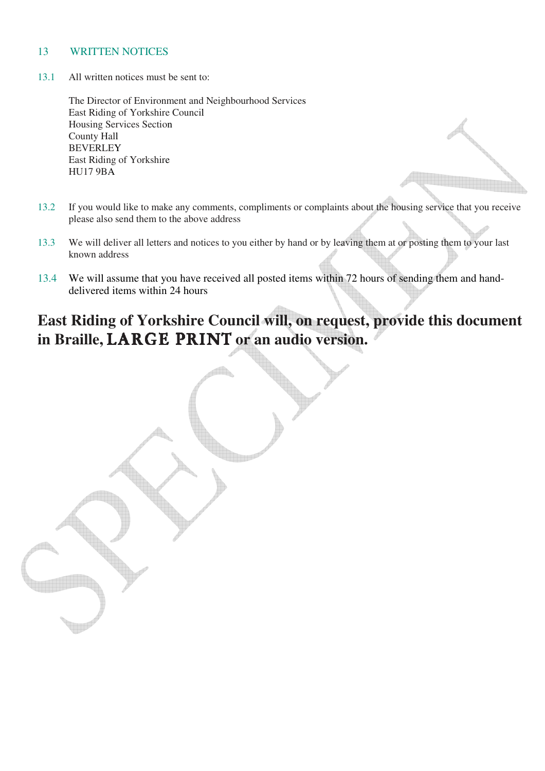#### 13 WRITTEN NOTICES

13.1 All written notices must be sent to:

The Director of Environment and Neighbourhood Services East Riding of Yorkshire Council Housing Services Section County Hall **BEVERLEY** East Riding of Yorkshire HU17 9BA

- 13.2 If you would like to make any comments, compliments or complaints about the housing service that you receive please also send them to the above address
- 13.3 We will deliver all letters and notices to you either by hand or by leaving them at or posting them to your last known address
- 13.4 We will assume that you have received all posted items within 72 hours of sending them and handdelivered items within 24 hours

# **East Riding of Yorkshire Council will, on request, provide this document**  in Braille, LARGE PRINT or an audio version.